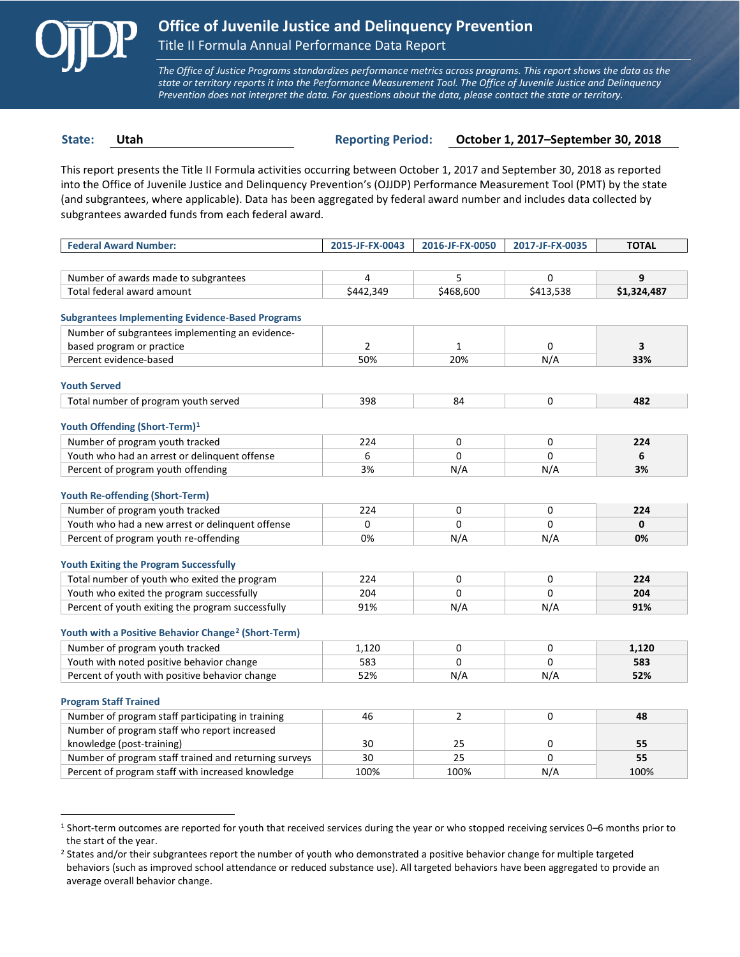

 $\overline{a}$ 

*The Office of Justice Programs standardizes performance metrics across programs. This report shows the data as the state or territory reports it into the Performance Measurement Tool. The Office of Juvenile Justice and Delinquency Prevention does not interpret the data. For questions about the data, please contact the state or territory.*

**State: Utah Reporting Period: October 1, 2017–September 30, 2018**

This report presents the Title II Formula activities occurring between October 1, 2017 and September 30, 2018 as reported into the Office of Juvenile Justice and Delinquency Prevention's (OJJDP) Performance Measurement Tool (PMT) by the state (and subgrantees, where applicable). Data has been aggregated by federal award number and includes data collected by subgrantees awarded funds from each federal award.

| <b>Federal Award Number:</b>                                    | 2015-JF-FX-0043 | 2016-JF-FX-0050 | 2017-JF-FX-0035 | <b>TOTAL</b> |
|-----------------------------------------------------------------|-----------------|-----------------|-----------------|--------------|
|                                                                 |                 |                 |                 |              |
| Number of awards made to subgrantees                            | 4               | 5               | 0               | 9            |
| Total federal award amount                                      | \$442,349       | \$468,600       | \$413,538       | \$1,324,487  |
|                                                                 |                 |                 |                 |              |
| <b>Subgrantees Implementing Evidence-Based Programs</b>         |                 |                 |                 |              |
| Number of subgrantees implementing an evidence-                 |                 |                 |                 |              |
| based program or practice                                       | $\mathcal{P}$   | $\mathbf{1}$    | 0               | 3            |
| Percent evidence-based                                          | 50%             | 20%             | N/A             | 33%          |
| <b>Youth Served</b>                                             |                 |                 |                 |              |
| Total number of program youth served                            | 398             | 84              | 0               | 482          |
|                                                                 |                 |                 |                 |              |
| Youth Offending (Short-Term) <sup>1</sup>                       |                 |                 |                 |              |
| Number of program youth tracked                                 | 224             | 0               | 0               | 224          |
| Youth who had an arrest or delinquent offense                   | 6               | $\Omega$        | 0               | 6            |
| Percent of program youth offending                              | 3%              | N/A             | N/A             | 3%           |
|                                                                 |                 |                 |                 |              |
| <b>Youth Re-offending (Short-Term)</b>                          |                 |                 |                 |              |
| Number of program youth tracked                                 | 224             | 0               | 0               | 224          |
| Youth who had a new arrest or delinguent offense                | 0               | $\Omega$        | 0               | 0            |
| Percent of program youth re-offending                           | 0%              | N/A             | N/A             | 0%           |
| <b>Youth Exiting the Program Successfully</b>                   |                 |                 |                 |              |
| Total number of youth who exited the program                    | 224             | 0               | 0               | 224          |
| Youth who exited the program successfully                       | 204             | 0               | 0               | 204          |
| Percent of youth exiting the program successfully               | 91%             | N/A             | N/A             | 91%          |
|                                                                 |                 |                 |                 |              |
| Youth with a Positive Behavior Change <sup>2</sup> (Short-Term) |                 |                 |                 |              |
| Number of program youth tracked                                 | 1,120           | 0               | 0               | 1,120        |
| Youth with noted positive behavior change                       | 583             | $\Omega$        | 0               | 583          |
| Percent of youth with positive behavior change                  | 52%             | N/A             | N/A             | 52%          |
|                                                                 |                 |                 |                 |              |
| <b>Program Staff Trained</b>                                    |                 |                 |                 |              |
| Number of program staff participating in training               | 46              | $\overline{2}$  | 0               | 48           |
| Number of program staff who report increased                    |                 |                 |                 |              |
| knowledge (post-training)                                       | 30              | 25              | 0               | 55           |
| Number of program staff trained and returning surveys           | 30              | 25              | 0               | 55           |
| Percent of program staff with increased knowledge               | 100%            | 100%            | N/A             | 100%         |

<span id="page-0-0"></span><sup>1</sup> Short-term outcomes are reported for youth that received services during the year or who stopped receiving services 0–6 months prior to the start of the year.

<span id="page-0-1"></span><sup>&</sup>lt;sup>2</sup> States and/or their subgrantees report the number of youth who demonstrated a positive behavior change for multiple targeted behaviors (such as improved school attendance or reduced substance use). All targeted behaviors have been aggregated to provide an average overall behavior change.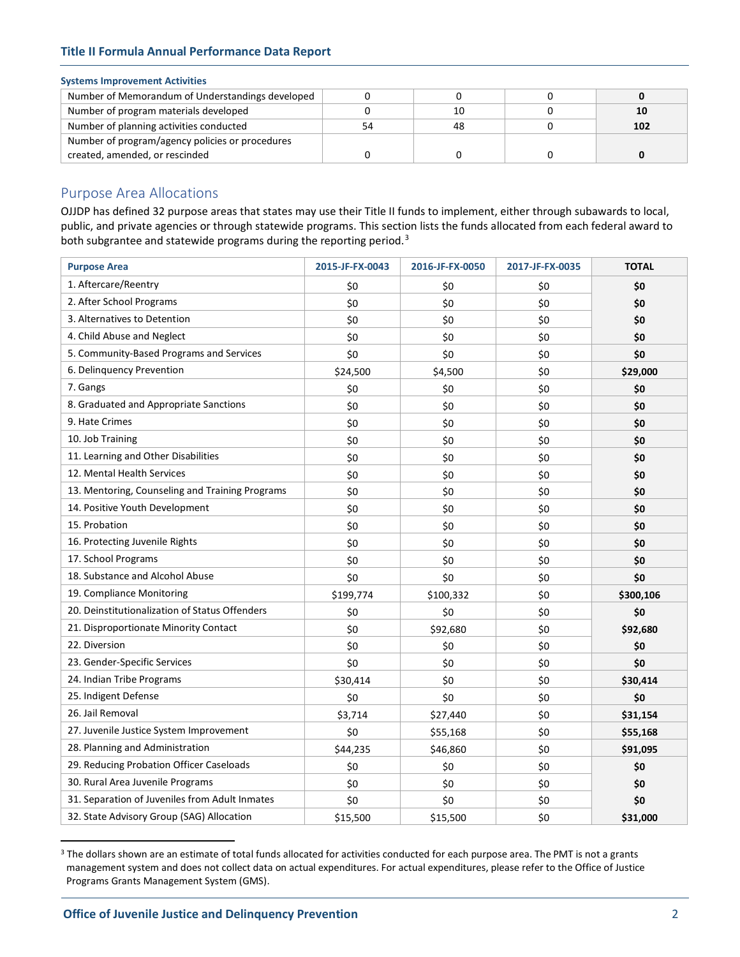# **Title II Formula Annual Performance Data Report**

#### **Systems Improvement Activities**

| Number of Memorandum of Understandings developed |    |    |     |
|--------------------------------------------------|----|----|-----|
| Number of program materials developed            |    | 10 |     |
| Number of planning activities conducted          | 54 |    | 102 |
| Number of program/agency policies or procedures  |    |    |     |
| created, amended, or rescinded                   |    |    |     |

# Purpose Area Allocations

OJJDP has defined 32 purpose areas that states may use their Title II funds to implement, either through subawards to local, public, and private agencies or through statewide programs. This section lists the funds allocated from each federal award to both subgrantee and statewide programs during the reporting period.<sup>[3](#page-1-0)</sup>

| <b>Purpose Area</b>                             | 2015-JF-FX-0043 | 2016-JF-FX-0050 | 2017-JF-FX-0035 | <b>TOTAL</b> |
|-------------------------------------------------|-----------------|-----------------|-----------------|--------------|
| 1. Aftercare/Reentry                            | \$0             | \$0             | \$0             | \$0          |
| 2. After School Programs                        | \$0             | \$0             | \$0             | \$0          |
| 3. Alternatives to Detention                    | \$0             | \$0             | \$0             | \$0          |
| 4. Child Abuse and Neglect                      | \$0             | \$0             | \$0             | \$0          |
| 5. Community-Based Programs and Services        | \$0             | \$0             | \$0             | \$0          |
| 6. Delinquency Prevention                       | \$24,500        | \$4,500         | \$0             | \$29,000     |
| 7. Gangs                                        | \$0             | \$0             | \$0             | \$0          |
| 8. Graduated and Appropriate Sanctions          | \$0             | \$0             | \$0             | \$0          |
| 9. Hate Crimes                                  | \$0             | \$0             | \$0             | \$0          |
| 10. Job Training                                | \$0             | \$0             | \$0             | \$0          |
| 11. Learning and Other Disabilities             | \$0             | \$0             | \$0             | \$0          |
| 12. Mental Health Services                      | \$0             | \$0             | \$0             | \$0          |
| 13. Mentoring, Counseling and Training Programs | \$0             | \$0             | \$0             | \$0          |
| 14. Positive Youth Development                  | \$0             | \$0             | \$0             | \$0          |
| 15. Probation                                   | \$0             | \$0             | \$0             | \$0          |
| 16. Protecting Juvenile Rights                  | \$0             | \$0             | \$0             | \$0          |
| 17. School Programs                             | \$0             | \$0             | \$0             | \$0          |
| 18. Substance and Alcohol Abuse                 | \$0             | \$0             | \$0             | \$0          |
| 19. Compliance Monitoring                       | \$199,774       | \$100,332       | \$0             | \$300,106    |
| 20. Deinstitutionalization of Status Offenders  | \$0             | \$0             | \$0             | \$0          |
| 21. Disproportionate Minority Contact           | \$0             | \$92,680        | \$0             | \$92,680     |
| 22. Diversion                                   | \$0             | \$0             | \$0             | \$0          |
| 23. Gender-Specific Services                    | \$0             | \$0             | \$0             | \$0          |
| 24. Indian Tribe Programs                       | \$30,414        | \$0             | \$0             | \$30,414     |
| 25. Indigent Defense                            | \$0             | \$0             | \$0             | \$0          |
| 26. Jail Removal                                | \$3,714         | \$27,440        | \$0             | \$31,154     |
| 27. Juvenile Justice System Improvement         | \$0             | \$55,168        | \$0             | \$55,168     |
| 28. Planning and Administration                 | \$44,235        | \$46,860        | \$0             | \$91,095     |
| 29. Reducing Probation Officer Caseloads        | \$0             | \$0             | \$0             | \$0          |
| 30. Rural Area Juvenile Programs                | \$0             | \$0             | \$0             | \$0          |
| 31. Separation of Juveniles from Adult Inmates  | \$0             | \$0             | \$0             | \$0          |
| 32. State Advisory Group (SAG) Allocation       | \$15,500        | \$15,500        | \$0             | \$31,000     |

<span id="page-1-0"></span><sup>&</sup>lt;sup>3</sup> The dollars shown are an estimate of total funds allocated for activities conducted for each purpose area. The PMT is not a grants management system and does not collect data on actual expenditures. For actual expenditures, please refer to the Office of Justice Programs Grants Management System (GMS).

 $\overline{a}$